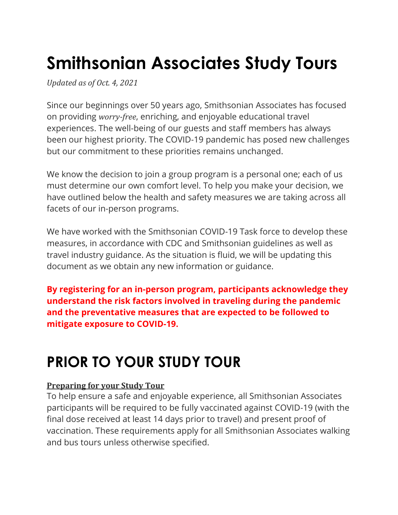# **Smithsonian Associates Study Tours**

*Updated as of Oct. 4, 2021*

Since our beginnings over 50 years ago, Smithsonian Associates has focused on providing *worry-free*, enriching, and enjoyable educational travel experiences. The well-being of our guests and staff members has always been our highest priority. The COVID-19 pandemic has posed new challenges but our commitment to these priorities remains unchanged.

We know the decision to join a group program is a personal one; each of us must determine our own comfort level. To help you make your decision, we have outlined below the health and safety measures we are taking across all facets of our in-person programs.

We have worked with the Smithsonian COVID-19 Task force to develop these measures, in accordance with CDC and Smithsonian guidelines as well as travel industry guidance. As the situation is fluid, we will be updating this document as we obtain any new information or guidance.

**By registering for an in-person program, participants acknowledge they understand the risk factors involved in traveling during the pandemic and the preventative measures that are expected to be followed to mitigate exposure to COVID-19.**

## **PRIOR TO YOUR STUDY TOUR**

### **Preparing for your Study Tour**

To help ensure a safe and enjoyable experience, all Smithsonian Associates participants will be required to be fully vaccinated against COVID-19 (with the final dose received at least 14 days prior to travel) and present proof of vaccination. These requirements apply for all Smithsonian Associates walking and bus tours unless otherwise specified.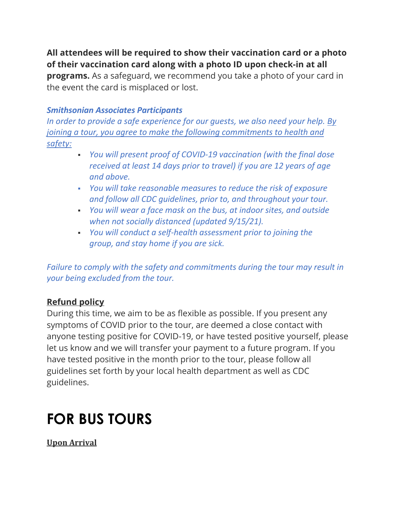**All attendees will be required to show their vaccination card or a photo of their vaccination card along with a photo ID upon check-in at all programs.** As a safeguard, we recommend you take a photo of your card in the event the card is misplaced or lost.

#### *Smithsonian Associates Participants*

*In order to provide a safe experience for our guests, we also need your help. By joining a tour, you agree to make the following commitments to health and safety:*

- *You will present proof of COVID-19 vaccination (with the final dose received at least 14 days prior to travel) if you are 12 years of age and above.*
- *You will take reasonable measures to reduce the risk of exposure and follow all CDC guidelines, prior to, and throughout your tour.*
- *You will wear a face mask on the bus, at indoor sites, and outside when not socially distanced (updated 9/15/21).*
- *You will conduct a self-health assessment prior to joining the group, and stay home if you are sick.*

*Failure to comply with the safety and commitments during the tour may result in your being excluded from the tour.*

### **Refund policy**

During this time, we aim to be as flexible as possible. If you present any symptoms of COVID prior to the tour, are deemed a close contact with anyone testing positive for COVID-19, or have tested positive yourself, please let us know and we will transfer your payment to a future program. If you have tested positive in the month prior to the tour, please follow all guidelines set forth by your local health department as well as CDC guidelines.

### **FOR BUS TOURS**

**Upon Arrival**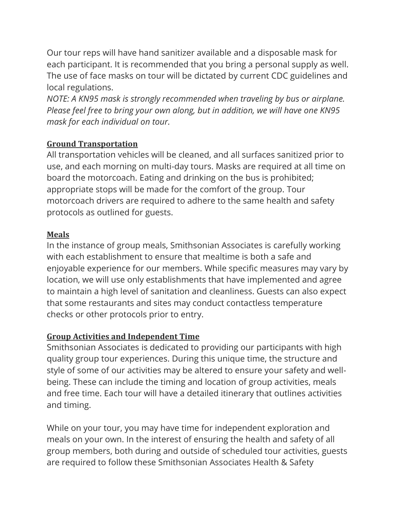Our tour reps will have hand sanitizer available and a disposable mask for each participant. It is recommended that you bring a personal supply as well. The use of face masks on tour will be dictated by current CDC guidelines and local regulations.

*NOTE: A KN95 mask is strongly recommended when traveling by bus or airplane. Please feel free to bring your own along, but in addition, we will have one KN95 mask for each individual on tour.*

#### **Ground Transportation**

All transportation vehicles will be cleaned, and all surfaces sanitized prior to use, and each morning on multi-day tours. Masks are required at all time on board the motorcoach. Eating and drinking on the bus is prohibited; appropriate stops will be made for the comfort of the group. Tour motorcoach drivers are required to adhere to the same health and safety protocols as outlined for guests.

#### **Meals**

In the instance of group meals, Smithsonian Associates is carefully working with each establishment to ensure that mealtime is both a safe and enjoyable experience for our members. While specific measures may vary by location, we will use only establishments that have implemented and agree to maintain a high level of sanitation and cleanliness. Guests can also expect that some restaurants and sites may conduct contactless temperature checks or other protocols prior to entry.

### **Group Activities and Independent Time**

Smithsonian Associates is dedicated to providing our participants with high quality group tour experiences. During this unique time, the structure and style of some of our activities may be altered to ensure your safety and wellbeing. These can include the timing and location of group activities, meals and free time. Each tour will have a detailed itinerary that outlines activities and timing.

While on your tour, you may have time for independent exploration and meals on your own. In the interest of ensuring the health and safety of all group members, both during and outside of scheduled tour activities, guests are required to follow these Smithsonian Associates Health & Safety